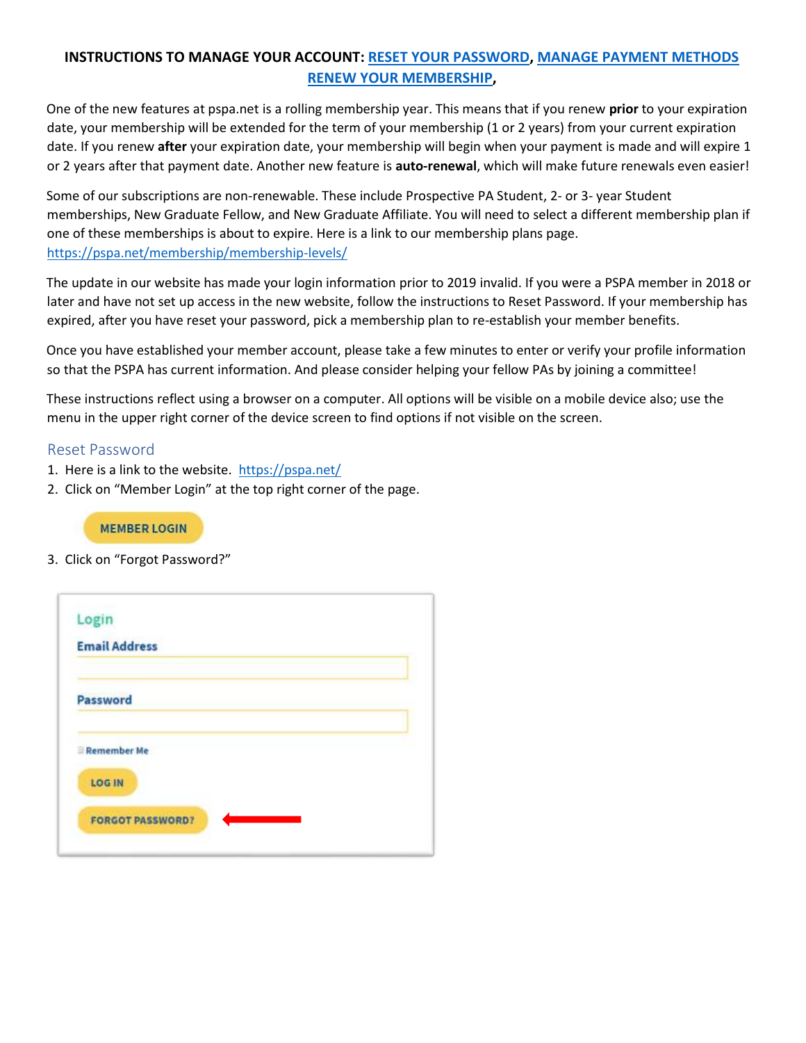## **INSTRUCTIONS TO MANAGE YOUR ACCOUNT: [RESET YOUR PASSWORD,](#page-0-0) [MANAGE PAYMENT METHODS](#page-2-0) [RENEW YOUR MEMBERSHIP,](#page-3-0)**

One of the new features at pspa.net is a rolling membership year. This means that if you renew **prior** to your expiration date, your membership will be extended for the term of your membership (1 or 2 years) from your current expiration date. If you renew **after** your expiration date, your membership will begin when your payment is made and will expire 1 or 2 years after that payment date. Another new feature is **auto-renewal**, which will make future renewals even easier!

Some of our subscriptions are non-renewable. These include Prospective PA Student, 2- or 3- year Student memberships, New Graduate Fellow, and New Graduate Affiliate. You will need to select a different membership plan if one of these memberships is about to expire. Here is a link to our membership plans page. <https://pspa.net/membership/membership-levels/>

The update in our website has made your login information prior to 2019 invalid. If you were a PSPA member in 2018 or later and have not set up access in the new website, follow the instructions to Reset Password. If your membership has expired, after you have reset your password, pick a membership plan to re-establish your member benefits.

Once you have established your member account, please take a few minutes to enter or verify your profile information so that the PSPA has current information. And please consider helping your fellow PAs by joining a committee!

These instructions reflect using a browser on a computer. All options will be visible on a mobile device also; use the menu in the upper right corner of the device screen to find options if not visible on the screen.

## <span id="page-0-0"></span>Reset Password

- 1. Here is a link to the website. <https://pspa.net/>
- 2. Click on "Member Login" at the top right corner of the page.

**MEMBER LOGIN** 

3. Click on "Forgot Password?"

| Login                   |  |  |
|-------------------------|--|--|
| <b>Email Address</b>    |  |  |
| Password                |  |  |
| Remember Me             |  |  |
| <b>LOG IN</b>           |  |  |
| <b>FORGOT PASSWORD?</b> |  |  |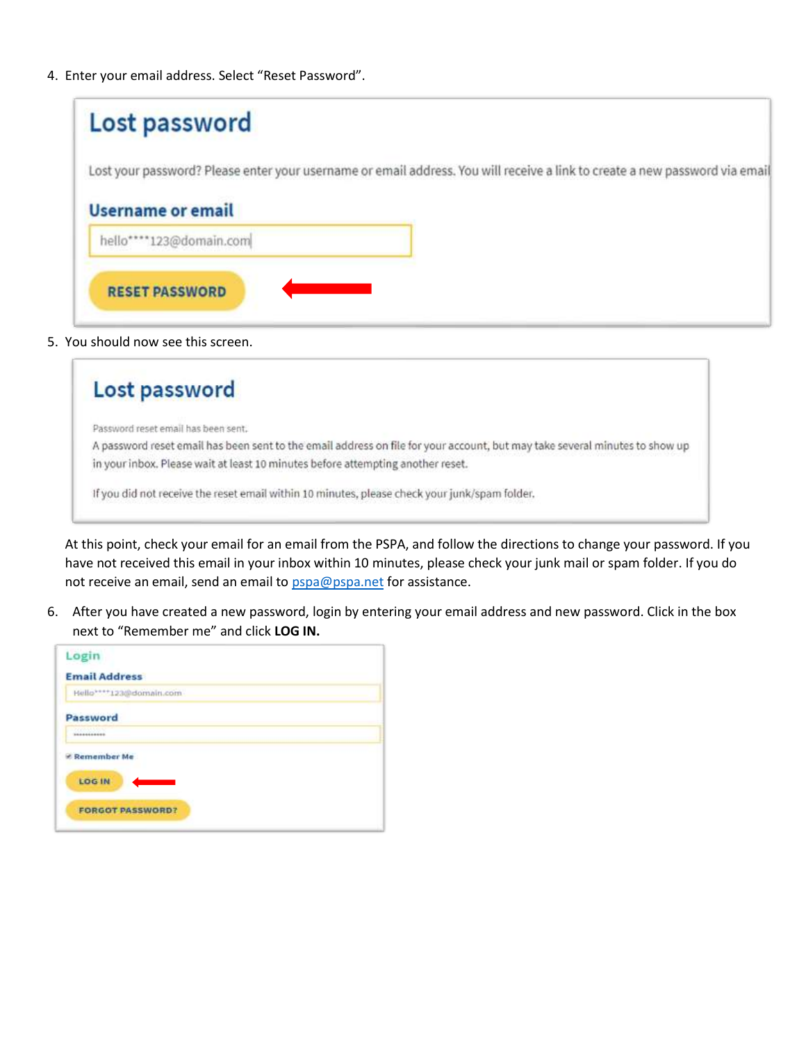4. Enter your email address. Select "Reset Password".

| Lost password            |                                                                                                                             |
|--------------------------|-----------------------------------------------------------------------------------------------------------------------------|
|                          | Lost your password? Please enter your username or email address. You will receive a link to create a new password via email |
| <b>Username or email</b> |                                                                                                                             |
| hello****123@domain.com  |                                                                                                                             |
| <b>RESET PASSWORD</b>    |                                                                                                                             |
|                          |                                                                                                                             |

5. You should now see this screen.

| Lost password                                                                                                               |  |
|-----------------------------------------------------------------------------------------------------------------------------|--|
| Password reset email has been sent.                                                                                         |  |
| A password reset email has been sent to the email address on file for your account, but may take several minutes to show up |  |
| in your inbox. Please wait at least 10 minutes before attempting another reset.                                             |  |
| If you did not receive the reset email within 10 minutes, please check your junk/spam folder.                               |  |

At this point, check your email for an email from the PSPA, and follow the directions to change your password. If you have not received this email in your inbox within 10 minutes, please check your junk mail or spam folder. If you do not receive an email, send an email to [pspa@pspa.net](mailto:pspa@pspa.net) for assistance.

6. After you have created a new password, login by entering your email address and new password. Click in the box next to "Remember me" and click **LOG IN.**

| Login                                |  |
|--------------------------------------|--|
| <b>Email Address</b>                 |  |
| Hello <sup>****</sup> 123@domain.com |  |
| Password                             |  |
| <b>BRANNADERS</b>                    |  |
| <b>E</b> Remember Me                 |  |
| LOG IN                               |  |
| <b>FORGOT PASSWORD?</b>              |  |
|                                      |  |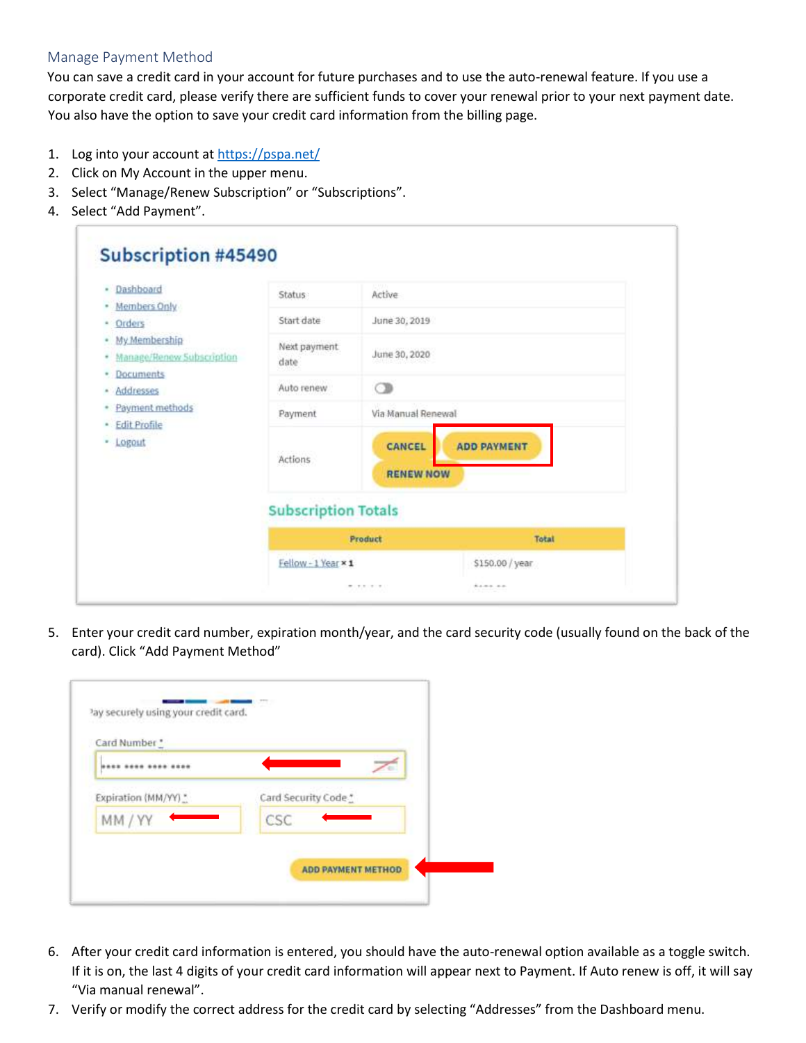## <span id="page-2-0"></span>Manage Payment Method

You can save a credit card in your account for future purchases and to use the auto-renewal feature. If you use a corporate credit card, please verify there are sufficient funds to cover your renewal prior to your next payment date. You also have the option to save your credit card information from the billing page.

- 1. Log into your account at<https://pspa.net/>
- 2. Click on My Account in the upper menu.
- 3. Select "Manage/Renew Subscription" or "Subscriptions".
- 4. Select "Add Payment".

| Dashboard<br>۰<br>Members Only<br>٠<br>* Orders<br>· My Membership<br>Manage/Renew Subscription<br>٠<br><b>Documents</b><br>٠<br>- Addresses<br>· Payment methods<br>· Edit Profile<br>- Logout | Status                     | Active                     |                    |  |
|-------------------------------------------------------------------------------------------------------------------------------------------------------------------------------------------------|----------------------------|----------------------------|--------------------|--|
|                                                                                                                                                                                                 | Start date                 | June 30, 2019              |                    |  |
|                                                                                                                                                                                                 | Next payment<br>date       | June 30, 2020              |                    |  |
|                                                                                                                                                                                                 | Auto renew                 | $\circledcirc$             |                    |  |
|                                                                                                                                                                                                 | Payment                    | Via Manual Renewal         |                    |  |
|                                                                                                                                                                                                 | Actions                    | CANCEL<br><b>RENEW NOW</b> | <b>ADD PAYMENT</b> |  |
|                                                                                                                                                                                                 | <b>Subscription Totals</b> |                            |                    |  |
|                                                                                                                                                                                                 | Product                    |                            | Total              |  |
|                                                                                                                                                                                                 | Fellow-1 Year × 1          |                            | \$150.00 / year    |  |
|                                                                                                                                                                                                 |                            |                            |                    |  |

5. Enter your credit card number, expiration month/year, and the card security code (usually found on the back of the card). Click "Add Payment Method"

| <b> </b>           |                      |
|--------------------|----------------------|
| Expiration (MM/YY) | Card Security Code * |
| MM/YY              | <b>CSC</b>           |

- 6. After your credit card information is entered, you should have the auto-renewal option available as a toggle switch. If it is on, the last 4 digits of your credit card information will appear next to Payment. If Auto renew is off, it will say "Via manual renewal".
- 7. Verify or modify the correct address for the credit card by selecting "Addresses" from the Dashboard menu.